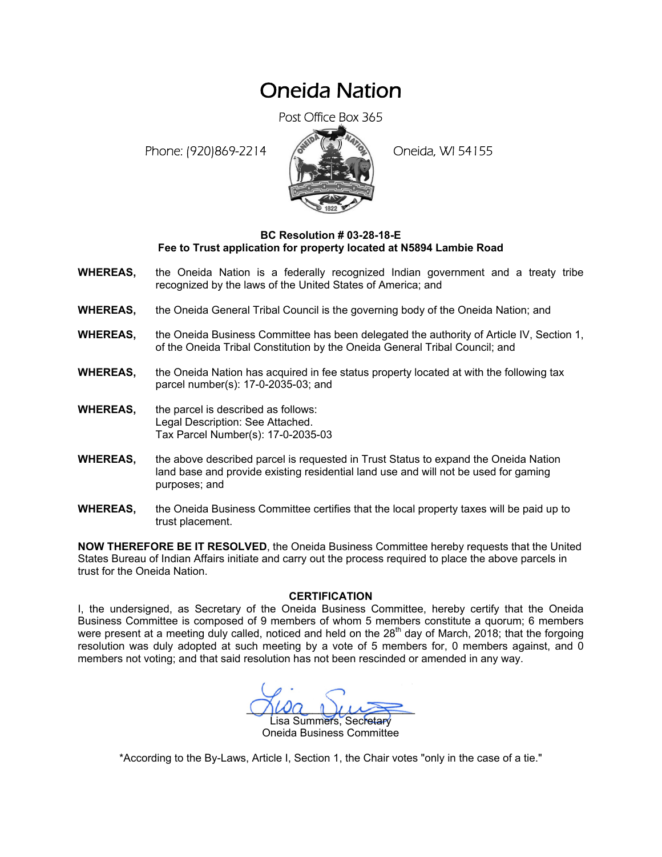## Oneida Nation

Post Office Box 365

Phone: (920)869-2214 (8 22 3) Oneida, WI 54155



## **BC Resolution # 03-28-18-E Fee to Trust application for property located at N5894 Lambie Road**

- **WHEREAS,** the Oneida Nation is a federally recognized Indian government and a treaty tribe recognized by the laws of the United States of America; and
- **WHEREAS,** the Oneida General Tribal Council is the governing body of the Oneida Nation; and
- **WHEREAS,** the Oneida Business Committee has been delegated the authority of Article IV, Section 1, of the Oneida Tribal Constitution by the Oneida General Tribal Council; and
- **WHEREAS,** the Oneida Nation has acquired in fee status property located at with the following tax parcel number(s): 17-0-2035-03; and
- **WHEREAS,** the parcel is described as follows: Legal Description: See Attached. Tax Parcel Number(s): 17-0-2035-03
- **WHEREAS,** the above described parcel is requested in Trust Status to expand the Oneida Nation land base and provide existing residential land use and will not be used for gaming purposes; and
- **WHEREAS,** the Oneida Business Committee certifies that the local property taxes will be paid up to trust placement.

**NOW THEREFORE BE IT RESOLVED**, the Oneida Business Committee hereby requests that the United States Bureau of Indian Affairs initiate and carry out the process required to place the above parcels in trust for the Oneida Nation.

## **CERTIFICATION**

I, the undersigned, as Secretary of the Oneida Business Committee, hereby certify that the Oneida Business Committee is composed of 9 members of whom 5 members constitute a quorum; 6 members were present at a meeting duly called, noticed and held on the  $28<sup>th</sup>$  day of March, 2018; that the forgoing resolution was duly adopted at such meeting by a vote of 5 members for, 0 members against, and 0 members not voting; and that said resolution has not been rescinded or amended in any way.

 $M^2$ isa Summers, Secretary Oneida Business Committee

\*According to the By-Laws, Article I, Section 1, the Chair votes "only in the case of a tie."